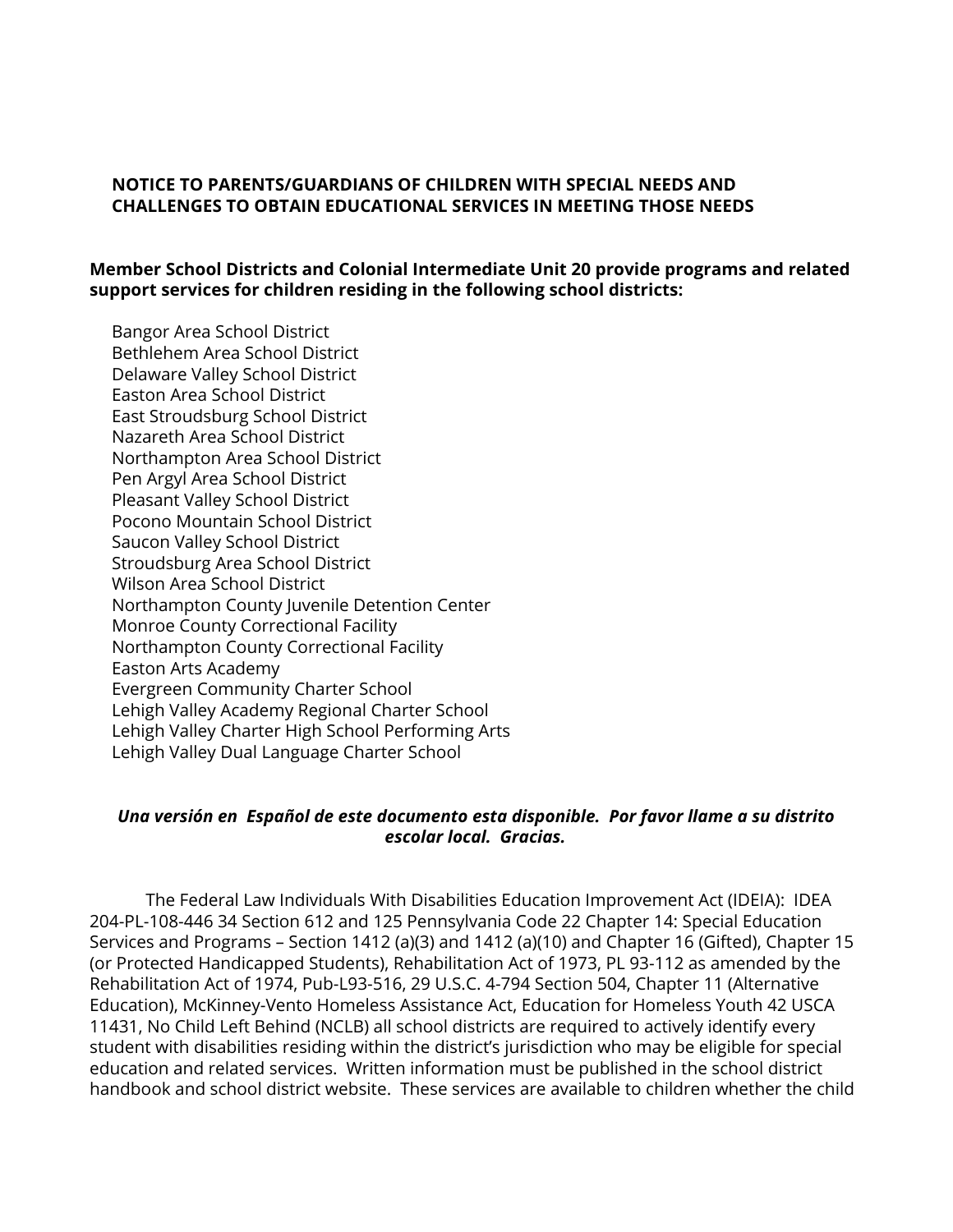### **NOTICE TO PARENTS/GUARDIANS OF CHILDREN WITH SPECIAL NEEDS AND CHALLENGES TO OBTAIN EDUCATIONAL SERVICES IN MEETING THOSE NEEDS**

## **Member School Districts and Colonial Intermediate Unit 20 provide programs and related support services for children residing in the following school districts:**

Bangor Area School District Bethlehem Area School District Delaware Valley School District Easton Area School District East Stroudsburg School District Nazareth Area School District Northampton Area School District Pen Argyl Area School District Pleasant Valley School District Pocono Mountain School District Saucon Valley School District Stroudsburg Area School District Wilson Area School District Northampton County Juvenile Detention Center Monroe County Correctional Facility Northampton County Correctional Facility Easton Arts Academy Evergreen Community Charter School Lehigh Valley Academy Regional Charter School Lehigh Valley Charter High School Performing Arts Lehigh Valley Dual Language Charter School

### *Una versión en Español de este documento esta disponible. Por favor llame a su distrito escolar local. Gracias.*

The Federal Law Individuals With Disabilities Education Improvement Act (IDEIA): IDEA 204-PL-108-446 34 Section 612 and 125 Pennsylvania Code 22 Chapter 14: Special Education Services and Programs – Section 1412 (a)(3) and 1412 (a)(10) and Chapter 16 (Gifted), Chapter 15 (or Protected Handicapped Students), Rehabilitation Act of 1973, PL 93-112 as amended by the Rehabilitation Act of 1974, Pub-L93-516, 29 U.S.C. 4-794 Section 504, Chapter 11 (Alternative Education), McKinney-Vento Homeless Assistance Act, Education for Homeless Youth 42 USCA 11431, No Child Left Behind (NCLB) all school districts are required to actively identify every student with disabilities residing within the district's jurisdiction who may be eligible for special education and related services. Written information must be published in the school district handbook and school district website. These services are available to children whether the child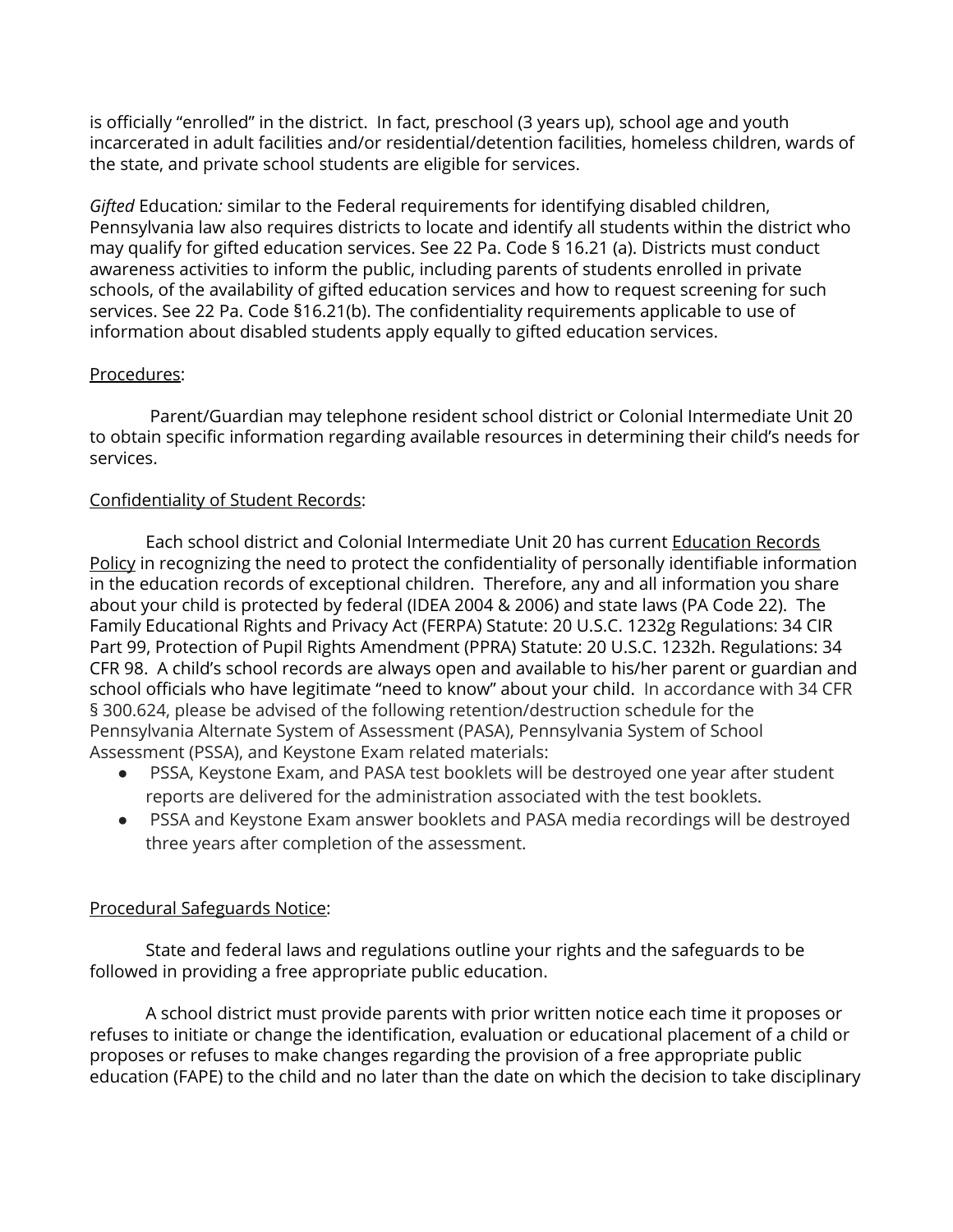is officially "enrolled" in the district. In fact, preschool (3 years up), school age and youth incarcerated in adult facilities and/or residential/detention facilities, homeless children, wards of the state, and private school students are eligible for services.

*Gifted* Education*:* similar to the Federal requirements for identifying disabled children, Pennsylvania law also requires districts to locate and identify all students within the district who may qualify for gifted education services. See 22 Pa. Code § 16.21 (a). Districts must conduct awareness activities to inform the public, including parents of students enrolled in private schools, of the availability of gifted education services and how to request screening for such services. See 22 Pa. Code §16.21(b). The confidentiality requirements applicable to use of information about disabled students apply equally to gifted education services.

# Procedures:

Parent/Guardian may telephone resident school district or Colonial Intermediate Unit 20 to obtain specific information regarding available resources in determining their child's needs for services.

# Confidentiality of Student Records:

Each school district and Colonial Intermediate Unit 20 has current Education Records Policy in recognizing the need to protect the confidentiality of personally identifiable information in the education records of exceptional children. Therefore, any and all information you share about your child is protected by federal (IDEA 2004 & 2006) and state laws (PA Code 22). The Family Educational Rights and Privacy Act (FERPA) Statute: 20 U.S.C. 1232g Regulations: 34 CIR Part 99, Protection of Pupil Rights Amendment (PPRA) Statute: 20 U.S.C. 1232h. Regulations: 34 CFR 98. A child's school records are always open and available to his/her parent or guardian and school officials who have legitimate "need to know" about your child. In accordance with 34 CFR § 300.624, please be advised of the following retention/destruction schedule for the Pennsylvania Alternate System of Assessment (PASA), Pennsylvania System of School Assessment (PSSA), and Keystone Exam related materials:

- PSSA, Keystone Exam, and PASA test booklets will be destroyed one year after student reports are delivered for the administration associated with the test booklets.
- PSSA and Keystone Exam answer booklets and PASA media recordings will be destroyed three years after completion of the assessment.

# Procedural Safeguards Notice:

State and federal laws and regulations outline your rights and the safeguards to be followed in providing a free appropriate public education.

A school district must provide parents with prior written notice each time it proposes or refuses to initiate or change the identification, evaluation or educational placement of a child or proposes or refuses to make changes regarding the provision of a free appropriate public education (FAPE) to the child and no later than the date on which the decision to take disciplinary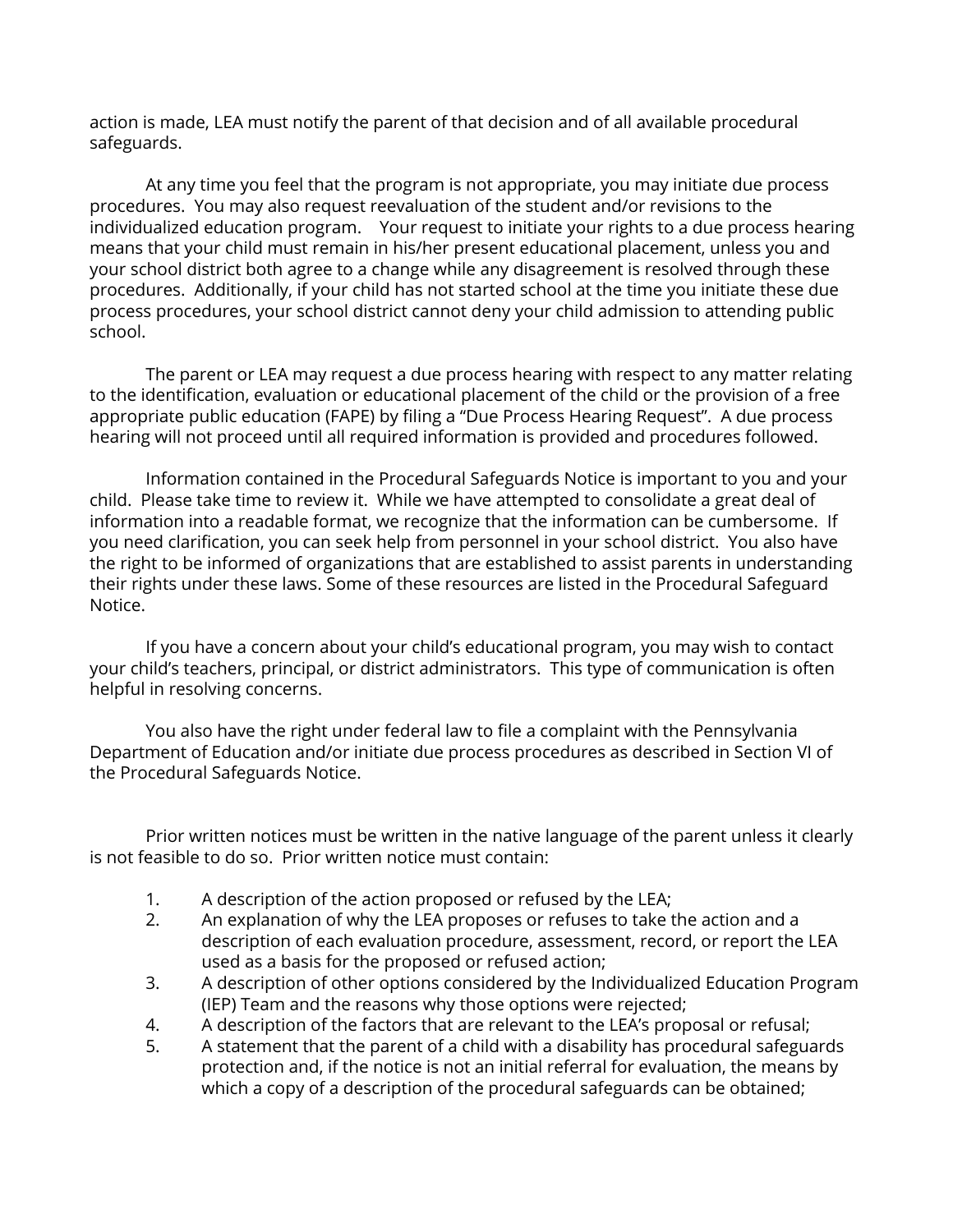action is made, LEA must notify the parent of that decision and of all available procedural safeguards.

At any time you feel that the program is not appropriate, you may initiate due process procedures. You may also request reevaluation of the student and/or revisions to the individualized education program. Your request to initiate your rights to a due process hearing means that your child must remain in his/her present educational placement, unless you and your school district both agree to a change while any disagreement is resolved through these procedures. Additionally, if your child has not started school at the time you initiate these due process procedures, your school district cannot deny your child admission to attending public school.

The parent or LEA may request a due process hearing with respect to any matter relating to the identification, evaluation or educational placement of the child or the provision of a free appropriate public education (FAPE) by filing a "Due Process Hearing Request". A due process hearing will not proceed until all required information is provided and procedures followed.

Information contained in the Procedural Safeguards Notice is important to you and your child. Please take time to review it. While we have attempted to consolidate a great deal of information into a readable format, we recognize that the information can be cumbersome. If you need clarification, you can seek help from personnel in your school district. You also have the right to be informed of organizations that are established to assist parents in understanding their rights under these laws. Some of these resources are listed in the Procedural Safeguard Notice.

If you have a concern about your child's educational program, you may wish to contact your child's teachers, principal, or district administrators. This type of communication is often helpful in resolving concerns.

You also have the right under federal law to file a complaint with the Pennsylvania Department of Education and/or initiate due process procedures as described in Section VI of the Procedural Safeguards Notice.

Prior written notices must be written in the native language of the parent unless it clearly is not feasible to do so. Prior written notice must contain:

- 1. A description of the action proposed or refused by the LEA;
- 2. An explanation of why the LEA proposes or refuses to take the action and a description of each evaluation procedure, assessment, record, or report the LEA used as a basis for the proposed or refused action;
- 3. A description of other options considered by the Individualized Education Program (IEP) Team and the reasons why those options were rejected;
- 4. A description of the factors that are relevant to the LEA's proposal or refusal;
- 5. A statement that the parent of a child with a disability has procedural safeguards protection and, if the notice is not an initial referral for evaluation, the means by which a copy of a description of the procedural safeguards can be obtained;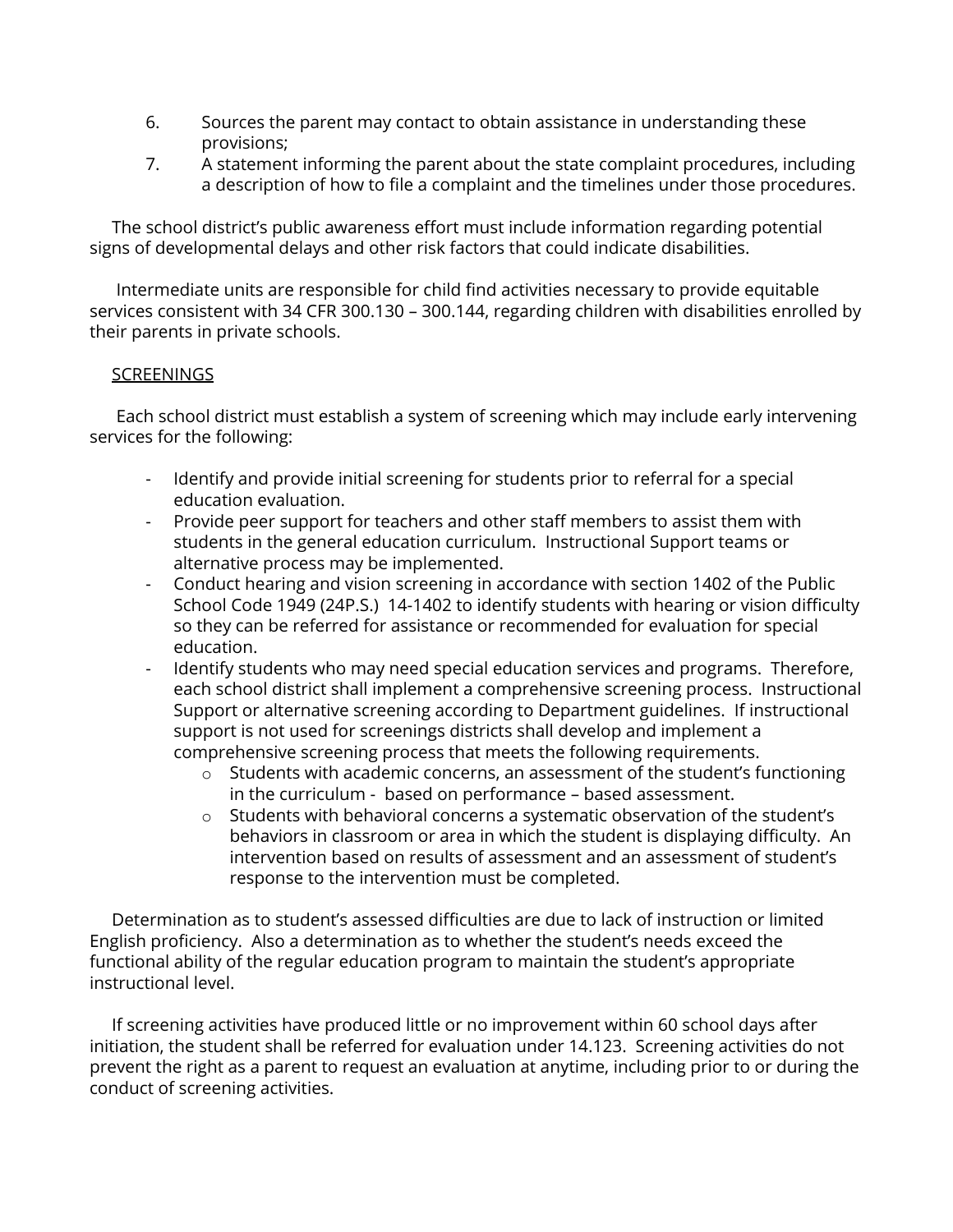- 6. Sources the parent may contact to obtain assistance in understanding these provisions;
- 7. A statement informing the parent about the state complaint procedures, including a description of how to file a complaint and the timelines under those procedures.

The school district's public awareness effort must include information regarding potential signs of developmental delays and other risk factors that could indicate disabilities.

Intermediate units are responsible for child find activities necessary to provide equitable services consistent with 34 CFR 300.130 – 300.144, regarding children with disabilities enrolled by their parents in private schools.

## **SCREENINGS**

Each school district must establish a system of screening which may include early intervening services for the following:

- Identify and provide initial screening for students prior to referral for a special education evaluation.
- Provide peer support for teachers and other staff members to assist them with students in the general education curriculum. Instructional Support teams or alternative process may be implemented.
- Conduct hearing and vision screening in accordance with section 1402 of the Public School Code 1949 (24P.S.) 14-1402 to identify students with hearing or vision difficulty so they can be referred for assistance or recommended for evaluation for special education.
- Identify students who may need special education services and programs. Therefore, each school district shall implement a comprehensive screening process. Instructional Support or alternative screening according to Department guidelines. If instructional support is not used for screenings districts shall develop and implement a comprehensive screening process that meets the following requirements.
	- o Students with academic concerns, an assessment of the student's functioning in the curriculum - based on performance – based assessment.
	- o Students with behavioral concerns a systematic observation of the student's behaviors in classroom or area in which the student is displaying difficulty. An intervention based on results of assessment and an assessment of student's response to the intervention must be completed.

Determination as to student's assessed difficulties are due to lack of instruction or limited English proficiency. Also a determination as to whether the student's needs exceed the functional ability of the regular education program to maintain the student's appropriate instructional level.

If screening activities have produced little or no improvement within 60 school days after initiation, the student shall be referred for evaluation under 14.123. Screening activities do not prevent the right as a parent to request an evaluation at anytime, including prior to or during the conduct of screening activities.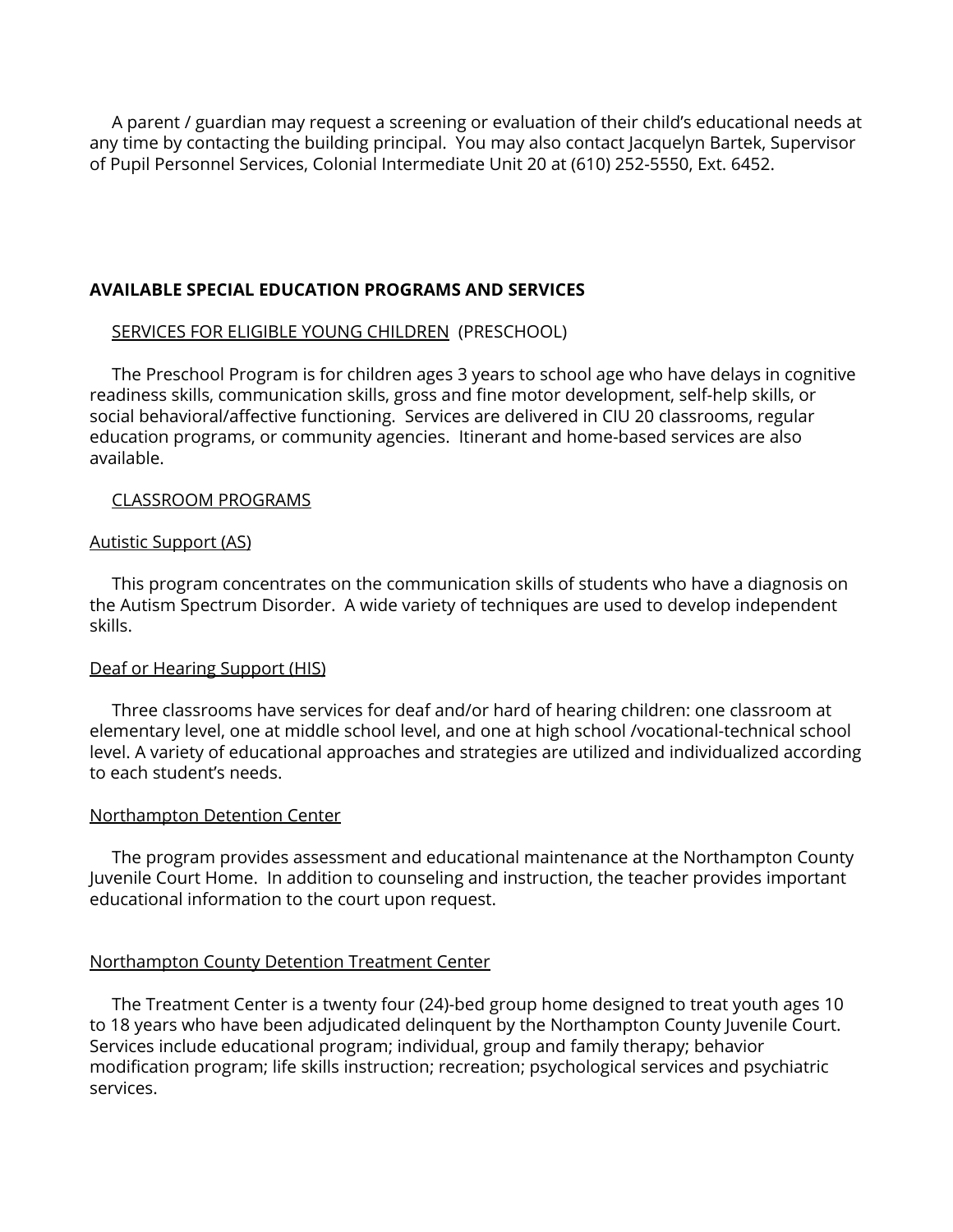A parent / guardian may request a screening or evaluation of their child's educational needs at any time by contacting the building principal. You may also contact Jacquelyn Bartek, Supervisor of Pupil Personnel Services, Colonial Intermediate Unit 20 at (610) 252-5550, Ext. 6452.

## **AVAILABLE SPECIAL EDUCATION PROGRAMS AND SERVICES**

### SERVICES FOR ELIGIBLE YOUNG CHILDREN (PRESCHOOL)

The Preschool Program is for children ages 3 years to school age who have delays in cognitive readiness skills, communication skills, gross and fine motor development, self-help skills, or social behavioral/affective functioning. Services are delivered in CIU 20 classrooms, regular education programs, or community agencies. Itinerant and home-based services are also available.

### CLASSROOM PROGRAMS

#### Autistic Support (AS)

This program concentrates on the communication skills of students who have a diagnosis on the Autism Spectrum Disorder. A wide variety of techniques are used to develop independent skills.

#### Deaf or Hearing Support (HIS)

Three classrooms have services for deaf and/or hard of hearing children: one classroom at elementary level, one at middle school level, and one at high school /vocational-technical school level. A variety of educational approaches and strategies are utilized and individualized according to each student's needs.

#### Northampton Detention Center

The program provides assessment and educational maintenance at the Northampton County Juvenile Court Home. In addition to counseling and instruction, the teacher provides important educational information to the court upon request.

### Northampton County Detention Treatment Center

The Treatment Center is a twenty four (24)-bed group home designed to treat youth ages 10 to 18 years who have been adjudicated delinquent by the Northampton County Juvenile Court. Services include educational program; individual, group and family therapy; behavior modification program; life skills instruction; recreation; psychological services and psychiatric services.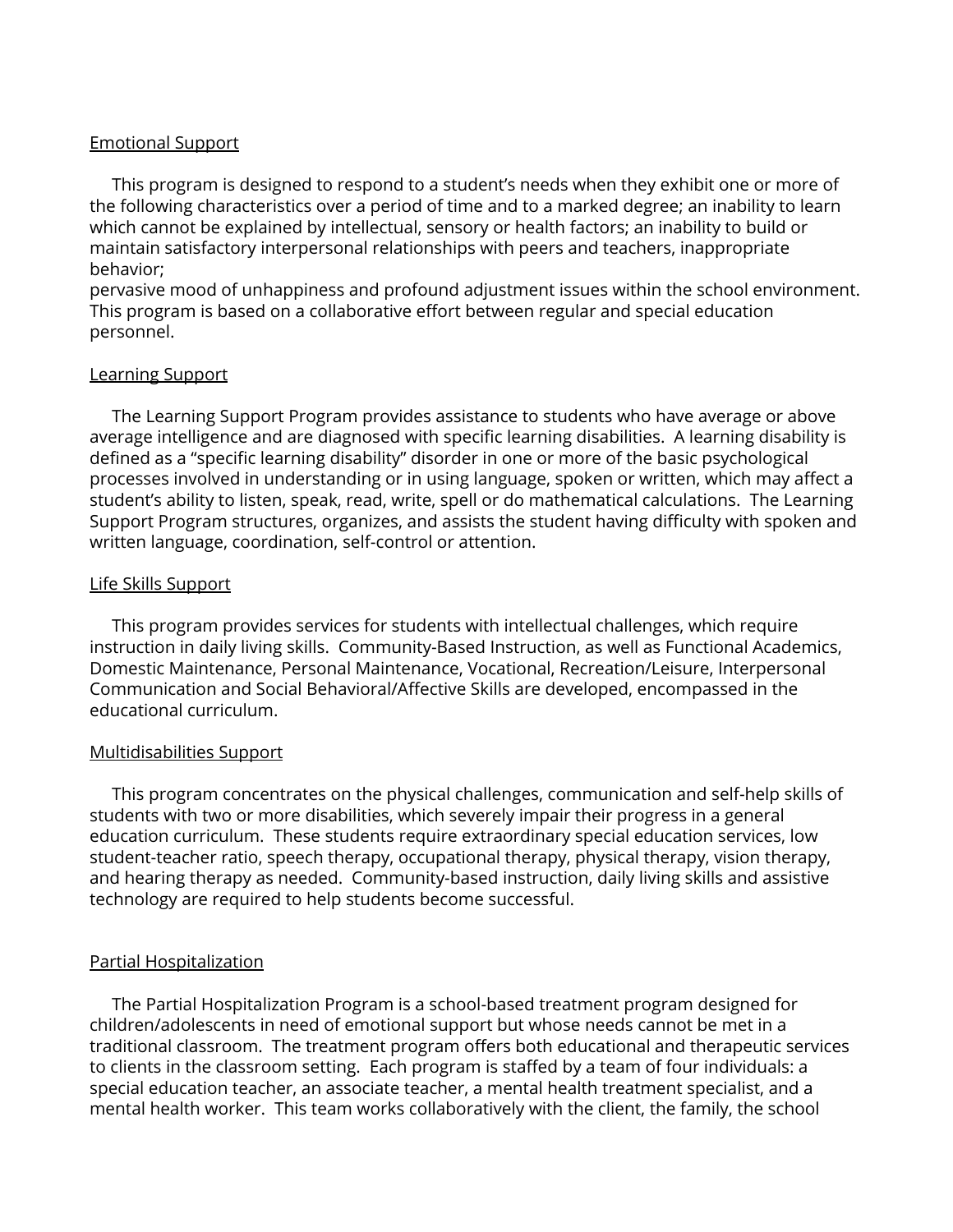#### Emotional Support

This program is designed to respond to a student's needs when they exhibit one or more of the following characteristics over a period of time and to a marked degree; an inability to learn which cannot be explained by intellectual, sensory or health factors; an inability to build or maintain satisfactory interpersonal relationships with peers and teachers, inappropriate behavior;

pervasive mood of unhappiness and profound adjustment issues within the school environment. This program is based on a collaborative effort between regular and special education personnel.

#### Learning Support

The Learning Support Program provides assistance to students who have average or above average intelligence and are diagnosed with specific learning disabilities. A learning disability is defined as a "specific learning disability" disorder in one or more of the basic psychological processes involved in understanding or in using language, spoken or written, which may affect a student's ability to listen, speak, read, write, spell or do mathematical calculations. The Learning Support Program structures, organizes, and assists the student having difficulty with spoken and written language, coordination, self-control or attention.

### Life Skills Support

This program provides services for students with intellectual challenges, which require instruction in daily living skills. Community-Based Instruction, as well as Functional Academics, Domestic Maintenance, Personal Maintenance, Vocational, Recreation/Leisure, Interpersonal Communication and Social Behavioral/Affective Skills are developed, encompassed in the educational curriculum.

### Multidisabilities Support

This program concentrates on the physical challenges, communication and self-help skills of students with two or more disabilities, which severely impair their progress in a general education curriculum. These students require extraordinary special education services, low student-teacher ratio, speech therapy, occupational therapy, physical therapy, vision therapy, and hearing therapy as needed. Community-based instruction, daily living skills and assistive technology are required to help students become successful.

### Partial Hospitalization

The Partial Hospitalization Program is a school-based treatment program designed for children/adolescents in need of emotional support but whose needs cannot be met in a traditional classroom. The treatment program offers both educational and therapeutic services to clients in the classroom setting. Each program is staffed by a team of four individuals: a special education teacher, an associate teacher, a mental health treatment specialist, and a mental health worker. This team works collaboratively with the client, the family, the school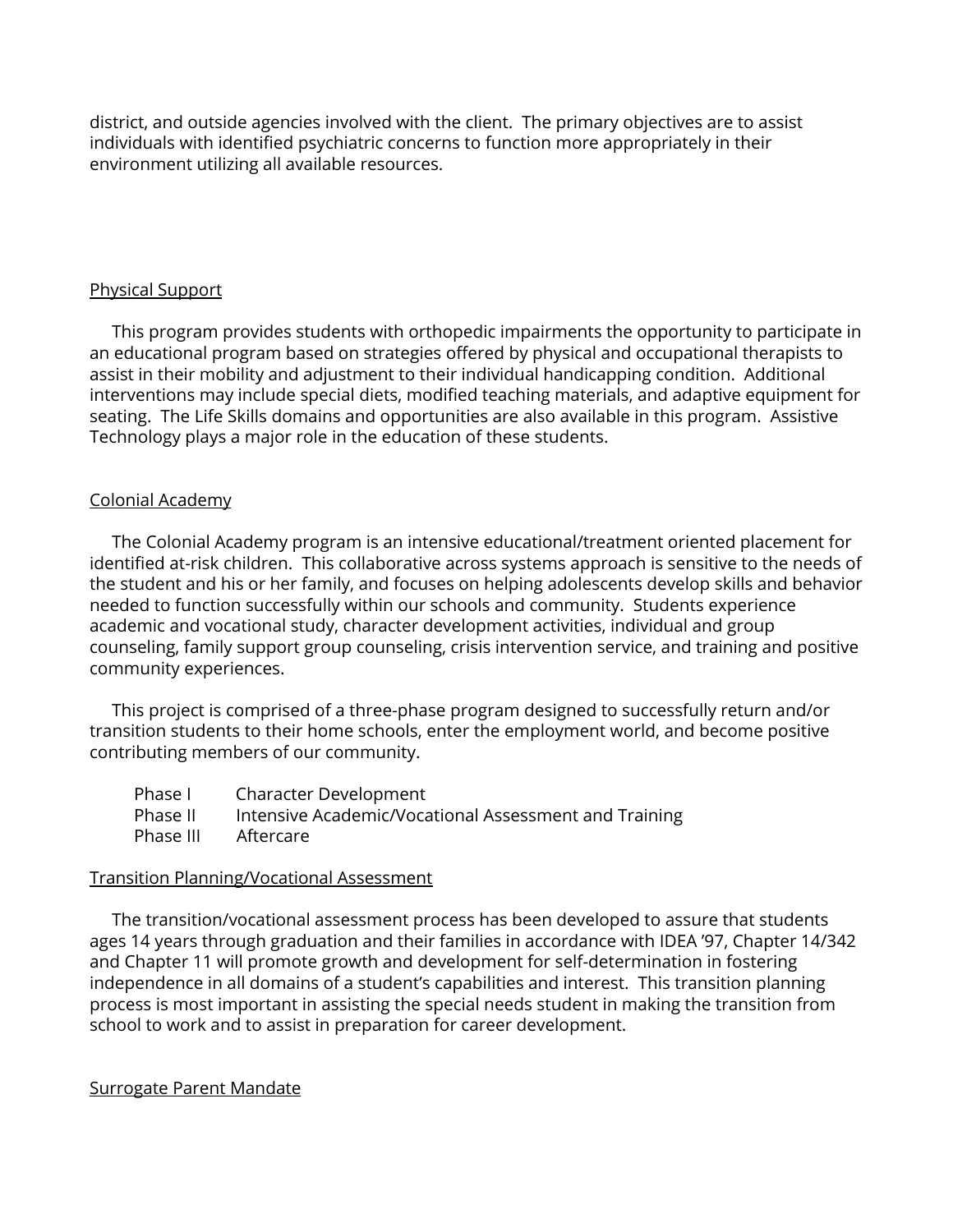district, and outside agencies involved with the client. The primary objectives are to assist individuals with identified psychiatric concerns to function more appropriately in their environment utilizing all available resources.

## Physical Support

This program provides students with orthopedic impairments the opportunity to participate in an educational program based on strategies offered by physical and occupational therapists to assist in their mobility and adjustment to their individual handicapping condition. Additional interventions may include special diets, modified teaching materials, and adaptive equipment for seating. The Life Skills domains and opportunities are also available in this program. Assistive Technology plays a major role in the education of these students.

## Colonial Academy

The Colonial Academy program is an intensive educational/treatment oriented placement for identified at-risk children. This collaborative across systems approach is sensitive to the needs of the student and his or her family, and focuses on helping adolescents develop skills and behavior needed to function successfully within our schools and community. Students experience academic and vocational study, character development activities, individual and group counseling, family support group counseling, crisis intervention service, and training and positive community experiences.

This project is comprised of a three-phase program designed to successfully return and/or transition students to their home schools, enter the employment world, and become positive contributing members of our community.

| Phase I   | Character Development                                 |
|-----------|-------------------------------------------------------|
| Phase II  | Intensive Academic/Vocational Assessment and Training |
| Phase III | Aftercare                                             |

### Transition Planning/Vocational Assessment

The transition/vocational assessment process has been developed to assure that students ages 14 years through graduation and their families in accordance with IDEA '97, Chapter 14/342 and Chapter 11 will promote growth and development for self-determination in fostering independence in all domains of a student's capabilities and interest. This transition planning process is most important in assisting the special needs student in making the transition from school to work and to assist in preparation for career development.

### Surrogate Parent Mandate